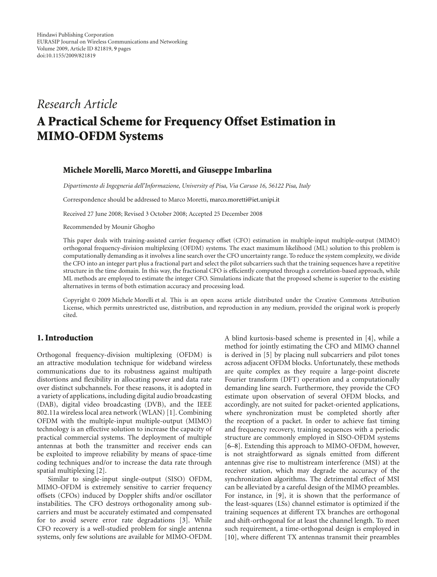# *Research Article*

# **A Practical Scheme for Frequency Offset Estimation in MIMO-OFDM Systems**

#### **Michele Morelli, Marco Moretti, and Giuseppe Imbarlina**

*Dipartimento di Ingegneria dell'Informazione, University of Pisa, Via Caruso 16, 56122 Pisa, Italy*

Correspondence should be addressed to Marco Moretti, marco.moretti@iet.unipi.it

Received 27 June 2008; Revised 3 October 2008; Accepted 25 December 2008

Recommended by Mounir Ghogho

This paper deals with training-assisted carrier frequency offset (CFO) estimation in multiple-input multiple-output (MIMO) orthogonal frequency-division multiplexing (OFDM) systems. The exact maximum likelihood (ML) solution to this problem is computationally demanding as it involves a line search over the CFO uncertainty range. To reduce the system complexity, we divide the CFO into an integer part plus a fractional part and select the pilot subcarriers such that the training sequences have a repetitive structure in the time domain. In this way, the fractional CFO is efficiently computed through a correlation-based approach, while ML methods are employed to estimate the integer CFO. Simulations indicate that the proposed scheme is superior to the existing alternatives in terms of both estimation accuracy and processing load.

Copyright © 2009 Michele Morelli et al. This is an open access article distributed under the Creative Commons Attribution License, which permits unrestricted use, distribution, and reproduction in any medium, provided the original work is properly cited.

## **1. Introduction**

Orthogonal frequency-division multiplexing (OFDM) is an attractive modulation technique for wideband wireless communications due to its robustness against multipath distortions and flexibility in allocating power and data rate over distinct subchannels. For these reasons, it is adopted in a variety of applications, including digital audio broadcasting (DAB), digital video broadcasting (DVB), and the IEEE 802.11a wireless local area network (WLAN) [1]. Combining OFDM with the multiple-input multiple-output (MIMO) technology is an effective solution to increase the capacity of practical commercial systems. The deployment of multiple antennas at both the transmitter and receiver ends can be exploited to improve reliability by means of space-time coding techniques and/or to increase the data rate through spatial multiplexing [2].

Similar to single-input single-output (SISO) OFDM, MIMO-OFDM is extremely sensitive to carrier frequency offsets (CFOs) induced by Doppler shifts and/or oscillator instabilities. The CFO destroys orthogonality among subcarriers and must be accurately estimated and compensated for to avoid severe error rate degradations [3]. While CFO recovery is a well-studied problem for single antenna systems, only few solutions are available for MIMO-OFDM.

A blind kurtosis-based scheme is presented in [4], while a method for jointly estimating the CFO and MIMO channel is derived in [5] by placing null subcarriers and pilot tones across adjacent OFDM blocks. Unfortunately, these methods are quite complex as they require a large-point discrete Fourier transform (DFT) operation and a computationally demanding line search. Furthermore, they provide the CFO estimate upon observation of several OFDM blocks, and accordingly, are not suited for packet-oriented applications, where synchronization must be completed shortly after the reception of a packet. In order to achieve fast timing and frequency recovery, training sequences with a periodic structure are commonly employed in SISO-OFDM systems [6–8]. Extending this approach to MIMO-OFDM, however, is not straightforward as signals emitted from different antennas give rise to multistream interference (MSI) at the receiver station, which may degrade the accuracy of the synchronization algorithms. The detrimental effect of MSI can be alleviated by a careful design of the MIMO preambles. For instance, in [9], it is shown that the performance of the least-squares (LSs) channel estimator is optimized if the training sequences at different TX branches are orthogonal and shift-orthogonal for at least the channel length. To meet such requirement, a time-orthogonal design is employed in [10], where different TX antennas transmit their preambles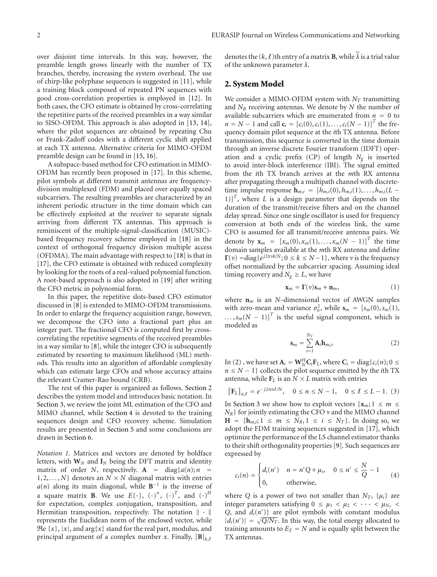over disjoint time intervals. In this way, however, the preamble length grows linearly with the number of TX branches, thereby, increasing the system overhead. The use of chirp-like polyphase sequences is suggested in [11], while a training block composed of repeated PN sequences with good cross-correlation properties is employed in [12]. In both cases, the CFO estimate is obtained by cross-correlating the repetitive parts of the received preambles in a way similar to SISO-OFDM. This approach is also adopted in [13, 14], where the pilot sequences are obtained by repeating Chu or Frank-Zadoff codes with a different cyclic shift applied at each TX antenna. Alternative criteria for MIMO-OFDM preamble design can be found in [15, 16].

A subspace-based method for CFO estimation in MIMO-OFDM has recently been proposed in [17]. In this scheme, pilot symbols at different transmit antennas are frequencydivision multiplexed (FDM) and placed over equally spaced subcarriers. The resulting preambles are characterized by an inherent periodic structure in the time domain which can be effectively exploited at the receiver to separate signals arriving from different TX antennas. This approach is reminiscent of the multiple-signal-classification (MUSIC) based frequency recovery scheme employed in [18] in the context of orthogonal frequency division multiple access (OFDMA). The main advantage with respect to [18] is that in [17], the CFO estimate is obtained with reduced complexity by looking for the roots of a real-valued polynomial function. A root-based approach is also adopted in [19] after writing the CFO metric in polynomial form.

In this paper, the repetitive slots-based CFO estimator discussed in [8] is extended to MIMO-OFDM transmissions. In order to enlarge the frequency acquisition range, however, we decompose the CFO into a fractional part plus an integer part. The fractional CFO is computed first by crosscorrelating the repetitive segments of the received preambles in a way similar to [8], while the integer CFO is subsequently estimated by resorting to maximum likelihood (ML) methods. This results into an algorithm of affordable complexity which can estimate large CFOs and whose accuracy attains the relevant Cramer-Rao bound (CRB).

The rest of this paper is organized as follows. Section 2 describes the system model and introduces basic notation. In Section 3, we review the joint ML estimation of the CFO and MIMO channel, while Section 4 is devoted to the training sequences design and CFO recovery scheme. Simulation results are presented in Section 5 and some conclusions are drawn in Section 6.

*Notation 1.* Matrices and vectors are denoted by boldface letters, with  $W_N$  and  $I_N$  being the DFT matrix and identity matrix of order *N*, respectively.  $A = diag{a(n); n}$  $1, 2, \ldots, N$ } denotes an  $N \times N$  diagonal matrix with entries *a*(*n*) along its main diagonal, while **B**−<sup>1</sup> is the inverse of a square matrix **B**. We use  $E\{\cdot\}$ ,  $(\cdot)^{*}$ ,  $(\cdot)^{T}$ , and  $(\cdot)^{H}$ for expectation, complex conjugation, transposition, and Hermitian transposition, respectively. The notation  $\|\cdot\|$ represents the Euclidean norm of the enclosed vector, while  $\Re$ e {*x*}, |*x*|, and arg{*x*} stand for the real part, modulus, and principal argument of a complex number *x*. Finally,  $[\mathbf{B}]_{k,l}$ 

denotes the  $(k, l)$ th entry of a matrix **B**, while  $\lambda$  is a trial value of the unknown parameter *λ*.

#### **2. System Model**

 $\overline{\phantom{a}}$ 

We consider a MIMO-OFDM system with  $N_T$  transmitting and *NR* receiving antennas. We denote by *N* the number of available subcarriers which are enumerated from  $n = 0$  to *n* = *N* − 1 and call  $c_i$  = [ $c_i$ (0),  $c_i$ (1), ...,  $c_i$ (*N* − 1)]<sup>*T*</sup> the frequency domain pilot sequence at the *i*th TX antenna. Before transmission, this sequence is converted in the time domain through an inverse discrete Fourier transform (IDFT) operation and a cyclic prefix  $(CP)$  of length  $N_g$  is inserted to avoid inter-block interference (IBI). The signal emitted from the *i*th TX branch arrives at the *m*th RX antenna after propagating through a multipath channel with discretetime impulse response  $h_{m,i} = [h_{m,i}(0), h_{m,i}(1), \ldots, h_{m,i}(L [1]$ <sup>T</sup>, where *L* is a design parameter that depends on the duration of the transmit/receive filters and on the channel delay spread. Since one single oscillator is used for frequency conversion at both ends of the wireless link, the same CFO is assumed for all transmit/receive antenna pairs. We denote by  $\mathbf{x}_m = [x_m(0), x_m(1), \dots, x_m(N-1)]^T$  the time domain samples available at the *m*th RX antenna and define  $\Gamma(\nu) = \text{diag}\{e^{j2\pi\nu k/N}; 0 \le k \le N-1\}$ , where  $\nu$  is the frequency offset normalized by the subcarrier spacing. Assuming ideal timing recovery and  $N_g \geq L$ , we have

$$
\mathbf{x}_m = \Gamma(\nu)\mathbf{s}_m + \mathbf{n}_m,\tag{1}
$$

where **n***<sup>m</sup>* is an *N*-dimensional vector of AWGN samples with zero-mean and variance  $\sigma_n^2$ , while  $\mathbf{s}_m = [s_m(0), s_m(1)]$ *...*, *s<sub>m</sub>*(*N* − 1)]<sup>*T*</sup> is the useful signal component, which is modeled as  $\mathbf{s}_m = \sum_{i=1}^{N_T} \mathbf{A}_i \mathbf{h}_{m,i}$ . (2) modeled as

$$
\mathbf{s}_m = \sum_{i=1}^{N_T} \mathbf{A}_i \mathbf{h}_{m,i}.
$$
 (2)

In (2), we have set  $\mathbf{A}_i = \mathbf{W}_{i}^H \mathbf{C}_i \mathbf{F}_L$ , where  $\mathbf{C}_i = \text{diag}\{c_i(n); 0 \leq \mathbf{C}_i\}$ *n* ≤ *N* − 1} collects the pilot sequence emitted by the *i*th TX antenna, while  $\mathbf{F}_L$  is an  $N \times L$  matrix with entries

$$
\left[\mathbf{F}_{L}\right]_{n,\ell} = e^{-j2\pi n\ell/N}, \quad 0 \le n \le N-1, \quad 0 \le \ell \le L-1. \tag{3}
$$

In Section 3 we show how to exploit vectors  $\{x_m; 1 \le m \le m\}$ *NR*} for jointly estimating the CFO *ν* and the MIMO channel **H** = {**}. In doing so, we** adopt the FDM training sequences suggested in [17], which optimize the performance of the LS channel estimator thanks ⎧to their shift orthogonality properties [9]. Such sequences are expressed by

$$
c_i(n) = \begin{cases} d_i(n') & n = n'Q + \mu_i, \quad 0 \le n' \le \frac{N}{Q} - 1\\ 0, & \text{otherwise,} \end{cases} \tag{4}
$$

where *Q* is a power of two not smaller than  $N_T$ ,  $\{\mu_i\}$  are integer parameters satisfying  $0 \leq \mu_1 < \mu_2 < \cdots < \mu_{N_T}$ *Q*, and *di*(*n* )} are pilot symbols with constant modulus  $|d_i(n')| = \sqrt{Q/N_T}$ . In this way, the total energy allocated to  $\begin{vmatrix} 1 & 0 \\ 0 & 1 \end{vmatrix}$  =  $\begin{vmatrix} 0 & 1 \\ 0 & 1 \end{vmatrix}$  =  $\begin{vmatrix} 0 & 1 \\ 0 & 1 \end{vmatrix}$  =  $\begin{vmatrix} 0 & 1 \\ 0 & 1 \end{vmatrix}$ training amounts to  $E_T = N$  and is equally split between the TX antennas.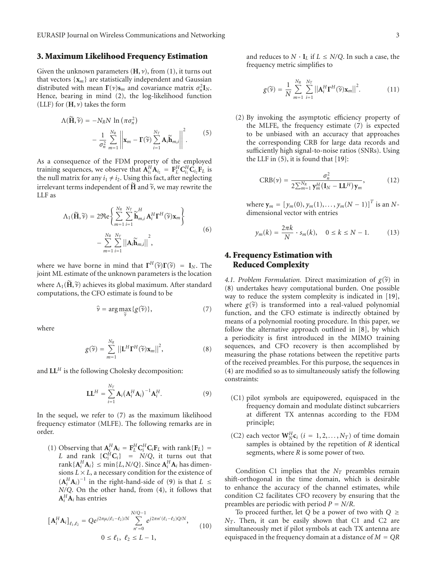#### **3. Maximum Likelihood Frequency Estimation**

Given the unknown parameters (**H**, *ν*), from (1), it turns out that vectors  $\{x_m\}$  are statistically independent and Gaussian distributed with mean  $\Gamma(\nu)$ **s**<sub>*m*</sub> and covariance matrix  $\sigma_n^2 \mathbf{I}_N$ . Hence, bearing in mind (2), the log-likelihood function<br>(LLF) for (**H**,  $\nu$ ) takes the form<br> $\Lambda(\tilde{H}, \tilde{\nu}) = -N_R N \ln (\pi \sigma_n^2)$ (LLF) for (**H**, *v*) takes the form<br>  $\Lambda(\tilde{\mathbf{H}}, \tilde{\mathbf{v}}) = -N_R N \ln(r)$ Ĩ,

$$
\Lambda(\widetilde{\mathbf{H}}, \widetilde{\mathbf{v}}) = -N_R N \ln (\pi \sigma_n^2) \n- \frac{1}{\sigma_n^2} \sum_{m=1}^{N_R} \left\| \mathbf{x}_m - \mathbf{\Gamma}(\widetilde{\mathbf{v}}) \sum_{i=1}^{N_T} \mathbf{A}_i \widetilde{\mathbf{h}}_{m,i} \right\|^2.
$$
\n(5)

As a consequence of the FDM property of the employed training sequences, we observe that  $A_{i_1}^H A_{i_2} = F_L^H C_{i_1}^H C_{i_2} F_L$  is<br>the null matrix for any  $i_1 \neq i_2$ . Using this fact, after neglecting<br>irrelevant terms independent of  $\tilde{H}$  and  $\tilde{\gamma}$ , we may rewrite the the null matrix for any  $i_1 \neq i_2$ . Using this fact, after neglecting *dent of*  $\widetilde{H}$  and  $\widetilde{v}$ , we may rewrite the LLF as

$$
\Lambda_{1}(\widetilde{\mathbf{H}}, \widetilde{\mathbf{v}}) = 2\Re\mathbf{e} \Bigg\{ \sum_{m=1}^{N_{R}} \sum_{i=1}^{N_{T}} \widetilde{\mathbf{h}}_{m,i}^{H} \mathbf{A}_{i}^{H} \mathbf{\Gamma}^{H}(\widetilde{\mathbf{v}}) \mathbf{x}_{m} \Bigg\} - \sum_{m=1}^{N_{R}} \sum_{i=1}^{N_{T}} ||\mathbf{A}_{i} \widetilde{\mathbf{h}}_{m,i}||^{2}, \qquad (6)
$$

*m*<sub>*m*-1</sub> i=1</sub>  $\geq$   $\geq$   $\parallel$   $\mathbf{A}_{i}$ **I**<sub>*m,i||*</sub> ,<br>where we have borne in mind that  $\mathbf{\Gamma}^{H}(\tilde{\mathbf{v}})\mathbf{\Gamma}(\tilde{\mathbf{v}}) = \mathbf{I}_{N}$ . The<br>joint ML estimate of the unknown parameters is the location<br>where  $\Lambda_{1}(\tilde{\mathbf$ joint ML estimate of the unknown parameters is the location hav<br>stin<br>H, ṽ

where  $\Lambda_1(\tilde{H}, \tilde{\nu})$  achieves its global maximum. After standard computations, the CFO estimate is found to be<br>  $\hat{\gamma} = \arg \max_{\tilde{\gamma}} \{g(\tilde{\gamma})\},\}$ 

$$
\hat{\nu} = \arg \max_{\alpha} \{g(\widetilde{\nu})\},\tag{7}
$$

where

$$
g(\widetilde{\mathbf{v}}) = \sum_{m=1}^{N_R} \left\| \mathbf{L}^H \mathbf{\Gamma}^H(\widetilde{\mathbf{v}}) \mathbf{x}_m \right\|^2, \tag{8}
$$

and 
$$
LL^H
$$
 is the following Cholesky decomposition:  
\n
$$
LL^H = \sum_{i=1}^{N_T} A_i (A_i^H A_i)^{-1} A_i^H.
$$
\n(9)

In the sequel, we refer to (7) as the maximum likelihood frequency estimator (MLFE). The following remarks are in order.

(1) Observing that  $\mathbf{A}^H_i \mathbf{A}_i = \mathbf{F}^H_L \mathbf{C}^H_i \mathbf{C}_i \mathbf{F}_L$  with rank { $\mathbf{F}_L$ } = *L* and rank  $\{C_i^H C_i\}$  = *N/Q*, it turns out that  $rank{A_i^H A_i} \leq min{L, N/Q}.$  Since  $A_i^H A_i$  has dimensions  $L \times L$ , a necessary condition for the existence of  $(A_i^H A_i)^{-1}$  in the right-hand-side of (9) is that  $L \leq$ *N/Q*. On the other hand, from (4), it follows that  $A_i^H A_i$  has entries

$$
\left[\mathbf{A}_i^H \mathbf{A}_i\right]_{\ell_1, \ell_2} = Q e^{j2\pi \mu_i (\ell_1 - \ell_2)/N} \sum_{n'=0}^{N/Q-1} e^{j2\pi n' (\ell_1 - \ell_2) Q/N},\tag{10}
$$
\n
$$
0 \le \ell_1, \ \ell_2 \le L - 1,
$$

and reduces to  $N \cdot I_L$  if  $L \leq N/Q$ . In such a case, the frequency metric simplifies to

$$
g(\widetilde{\mathbf{v}}) = \frac{1}{N} \sum_{m=1}^{N_R} \sum_{i=1}^{N_T} ||\mathbf{A}_i^H \mathbf{\Gamma}^H(\widetilde{\mathbf{v}}) \mathbf{x}_m||^2.
$$
 (11)

(2) By invoking the asymptotic efficiency property of the MLFE, the frequency estimate (7) is expected to be unbiased with an accuracy that approaches the corresponding CRB for large data records and sufficiently high signal-to-noise ratios (SNRs). Using

the LLF in (5), it is found that [19]:  
\n
$$
CRB(\nu) = \frac{\sigma_n^2}{2\sum_{m=1}^{N_R} y_m^H (\mathbf{I}_N - \mathbf{L}\mathbf{L}^H)\mathbf{y}_m},
$$
\n(12)

where  $y_m = [y_m(0), y_m(1), \ldots, y_m(N-1)]^T$  is an *N*dimensional vector with entries

$$
y_m(k) = \frac{2\pi k}{N} \cdot s_m(k), \quad 0 \le k \le N - 1.
$$
 (13)

### **4. Frequency Estimation with Reduced Complexity**

*Reduced Complexity*<br> *4.1. Problem Formulation. Direct maximization of <i>g*( $\tilde{v}$ ) in (8) undertakes heavy computational burden. One possible way to reduce the system complexity is indicated in [19], (8) under<br>way to red<br>where  $g(\tilde{\gamma})$ *where*  $g(\tilde{v})$  is transformed into a real-valued polynomial function, and the CFO estimate is indirectly obtained by means of a polynomial rooting procedure. In this paper, we follow the alternative approach outlined in [8], by which a periodicity is first introduced in the MIMO training sequences, and CFO recovery is then accomplished by measuring the phase rotations between the repetitive parts of the received preambles. For this purpose, the sequences in (4) are modified so as to simultaneously satisfy the following constraints:

- (C1) pilot symbols are equipowered, equispaced in the frequency domain and modulate distinct subcarriers at different TX antennas according to the FDM principle;
- (C2) each vector  $\mathbf{W}_N^H \mathbf{c}_i$  (*i* = 1, 2, ...,  $N_T$ ) of time domain samples is obtained by the repetition of *R* identical segments, where *R* is some power of two.

Condition C1 implies that the  $N_T$  preambles remain shift-orthogonal in the time domain, which is desirable to enhance the accuracy of the channel estimates, while condition C2 facilitates CFO recovery by ensuring that the preambles are periodic with period *P* = *N/R*.

To proceed further, let *Q* be a power of two with  $Q \geq$ *NT*. Then, it can be easily shown that C1 and C2 are simultaneously met if pilot symbols at each TX antenna are equispaced in the frequency domain at a distance of *M* = *QR*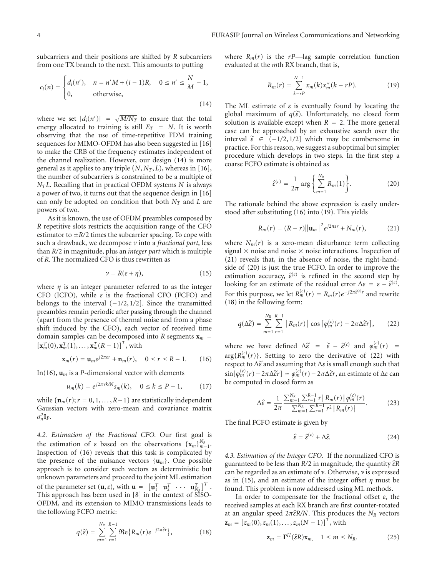subcarriers and their positions are shifted by *R* subcarriers from one TX branch to the next. This amounts to putting

$$
c_i(n) = \begin{cases} d_i(n'), & n = n'M + (i-1)R, & 0 \le n' \le \frac{N}{M} - 1, \\ 0, & \text{otherwise,} \end{cases}
$$
(14)  
where we set  $|d_i(n')| = \sqrt{M/N_T}$  to ensure that the total

 $\sqrt{M/N_T}$  to ensure that the total energy allocated to training is still  $E_T$  = *N*. It is worth observing that the use of time-repetitive FDM training sequences for MIMO-OFDM has also been suggested in [16] to make the CRB of the frequency estimates independent of the channel realization. However, our design (14) is more sequences for MIMO-OFDM has<br>to make the CRB of the frequency<br>the channel realization. However<br>general as it applies to any triple ( general as it applies to any triple  $(N, N_T, L)$ , whereas in [16], the number of subcarriers is constrained to be a multiple of *NTL*. Recalling that in practical OFDM systems *N* is always a power of two, it turns out that the sequence design in [16] can only be adopted on condition that both  $N_T$  and  $L$  are powers of two.

As it is known, the use of OFDM preambles composed by *R* repetitive slots restricts the acquisition range of the CFO estimator to  $\pm R/2$  times the subcarrier spacing. To cope with such a drawback, we decompose *ν* into a *fractional part*, less than *R/*2 in magnitude, plus an *integer part* which is multiple of *R*. The normalized CFO is thus rewritten as

$$
\nu = R(\varepsilon + \eta),\tag{15}
$$

where  $\eta$  is an integer parameter referred to as the integer CFO (ICFO), while *ε* is the fractional CFO (FCFO) and belongs to the interval (−1*/*2, 1*/*2]. Since the transmitted preambles remain periodic after passing through the channel (apart from the presence of thermal noise and from a phase shift induced by the CFO), each vector of received time domain samples can be decomposed into *R* segments  $\mathbf{x}_m$  =  $[\mathbf{x}_{m}^{T}(0), \mathbf{x}_{m}^{T}(1), \ldots, \mathbf{x}_{m}^{T}(R-1)]^{T}$ , with

$$
\mathbf{x}_m(r) = \mathbf{u}_m e^{j2\pi\epsilon r} + \mathbf{n}_m(r), \quad 0 \le r \le R - 1. \tag{16}
$$

In(16),  $\mathbf{u}_m$  is a *P*-dimensional vector with elements

$$
u_m(k) = e^{j2\pi v k/N} s_m(k), \quad 0 \le k \le P - 1, \tag{17}
$$

while  ${\bf n}_m(r); r = 0, 1, \ldots, R-1$  are statistically independent Gaussian vectors with zero-mean and covariance matrix  $\sigma_n^2 \mathbf{I}_P$ .

*4.2. Estimation of the Fractional CFO.* Our first goal is the estimation of *ε* based on the observations  $\{x_m\}_{m=1}^{N_R}$ . Inspection of (16) reveals that this task is complicated by the presence of the nuisance vectors {**u***m*}. One possible approach is to consider such vectors as deterministic but unknown parameters and proceed to the joint ML estimation the presence of the nuisance vectors  $\{u_m\}$ . One possible<br>approach is to consider such vectors as deterministic but<br>unknown parameters and proceed to the joint ML estimation<br>of the parameter set  $(\mathbf{u}, \varepsilon)$ , with  $\mathbf$ This approach has been used in [8] in the context of SISO-OFDM, and its extension to MIMO transmissions leads to the following FCFO metric:<br> *q*(*ε*) =  $\sum_{n=1}^{N_R} \sum_{k=1}^{R-1}$ ווו:<br>r ז

$$
q(\widetilde{\varepsilon}) = \sum_{m=1}^{N_R} \sum_{r=1}^{R-1} \Re e \{ R_m(r) e^{-j2\pi \widetilde{\varepsilon} r} \}, \qquad (18)
$$

where  $R_m(r)$  is the  $rP$ —lag sample correlation function evaluated at the *m*th RX branch, that is,

$$
R_m(r) = \sum_{k=r}^{N-1} x_m(k) x_m^*(k - rP).
$$
 (19)

The ML estimate of  $\varepsilon$  is eventually found by locating the  $k=rP$ <br>The ML estimate of *ε* is eventually found by locating the<br>global maximum of *q*(*ε*̃). Unfortunately, no closed form solution is available except when  $R = 2$ . The more general case can be approached by an exhaustive search over the solution is available except when  $R = 2$ . The more general<br>case can be approached by an exhaustive search over the<br>interval  $\tilde{\epsilon} \in (-1/2, 1/2]$  which may be cumbersome in practice. For this reason, we suggest a suboptimal but simpler procedure which develops in two steps. In the first step a<br>
coarse FCFO estimate is obtained as<br>  $\hat{\epsilon}^{(c)} = \frac{1}{2\pi} \arg \left\{ \sum_{m=1}^{N_R} R_m(1) \right\}.$  (20) coarse FCFO estimate is obtained as

imate is obtained as  
\n
$$
\hat{\varepsilon}^{(c)} = \frac{1}{2\pi} \arg \left\{ \sum_{m=1}^{N_R} R_m(1) \right\}.
$$
\n(20)

The rationale behind the above expression is easily under stood after substituting (16) into (19). This yields

$$
R_m(r) = (R - r) ||\mathbf{u}_m||^2 e^{j2\pi\epsilon r} + N_m(r), \tag{21}
$$

where  $N_m(r)$  is a zero-mean disturbance term collecting signal  $\times$  noise and noise  $\times$  noise interactions. Inspection of (21) reveals that, in the absence of noise, the right-handside of (20) is just the true FCFO. In order to improve the estimation accuracy,  $\hat{\varepsilon}^{(c)}$  is refined in the second step by looking for an estimation accuracy,  $\hat{\varepsilon}^{(c)}$  is refined in the second step by looking for an estimate of the residual error Δ*ε* = *ε* −  $\hat{\varepsilon}^{(c)}$ . For this purpose, we let  $R_m^{(c)}(r) = R_m(r)e^{-j2\pi\hat{\varepsilon}^{(c)}r}$  an For this purpose, we let  $R_m^{(c)}$  (19) in the following forms.

(18) in the following form:  
\n
$$
q(\Delta \tilde{\epsilon}) = \sum_{m=1}^{N_R} \sum_{r=1}^{R-1} |R_m(r)| \cos [\varphi_m^{(c)}(r) - 2\pi \Delta \tilde{\epsilon}r], \qquad (22)
$$
\nwhere we have defined  $\Delta \tilde{\epsilon} = \tilde{\epsilon} - \tilde{\epsilon}^{(c)}$  and  $\varphi_m^{(c)}(r) =$ 

 $arg\{R_m^{(c)}(r)\}\)$ . Setting to zero the derivative of (22) with where we h<br>arg $\{R_m^{(c)}(r)\}\.$ <br>respect to  $\Delta \hat{\varepsilon}$ respect to  $\Delta \tilde{\varepsilon}$  and assuming that  $\Delta \varepsilon$  is small enough such that  $\arg{\{R_m^{(c)}(r)\}}$ . Setting to zero the derivative of (22) with respect to  $\Delta \tilde{\epsilon}$  and assuming that  $\Delta \epsilon$  is small enough such that  $\sin[\varphi_m^{(c)}(r) - 2\pi\Delta \tilde{\epsilon}r] \simeq \varphi_m^{(c)}(r) - 2\pi\Delta \tilde{\epsilon}r$ , an estimate of  $\Delta \epsilon$  can

be computed in closed form as  
\n
$$
\Delta \hat{\epsilon} = \frac{1}{2\pi} \frac{\sum_{m=1}^{N_R} \sum_{r=1}^{R-1} r |R_m(r)| \varphi_m^{(c)}(r)}{\sum_{m=1}^{N_R} \sum_{r=1}^{R-1} r^2 |R_m(r)|}.
$$
\n(23)

The final FCFO estimate is given by<br> $\hat{\varepsilon} = \hat{\varepsilon}^{(c)} + \Delta \varepsilon$ 

te is given by  

$$
\hat{\varepsilon} = \hat{\varepsilon}^{(c)} + \Delta \hat{\varepsilon}.
$$
 (24)

*4.3. Estimation of the Integer CFO.* If the normalized CFO is 4.3. *Estimation of the Integer CFO*. If the normalized CFO is guaranteed to be less than *R*/2 in magnitude, the quantity *ε̂R* can be regarded as an estimate of *ν*. Otherwise, *ν* is expressed as in (15), and an estimate of the integer offset *η* must be found. This problem is now addressed using ML methods.

In order to compensate for the fractional offset *ε*, the received samples at each RX branch are first counter-rotated at an angular speed 2*πεR/N* . This produces the *NR* vectors **z**<sub>*m*</sub> = [*z<sub>m</sub>*(0), *z<sub>m</sub>*(1), ..., *z<sub>m</sub>*(*N* − 1)]<sup>*T*</sup>, with<br> **z**<sub>*m*</sub> = **F**<sup>*H*</sup>( $\hat{\epsilon}R$ )**x**<sub>*m*</sub>, 1 ≤ *m* ≤ *NR*. (25)

$$
\mathbf{z}_m = \Gamma^H(\hat{\varepsilon}R)\mathbf{x}_m, \quad 1 \le m \le N_R. \tag{25}
$$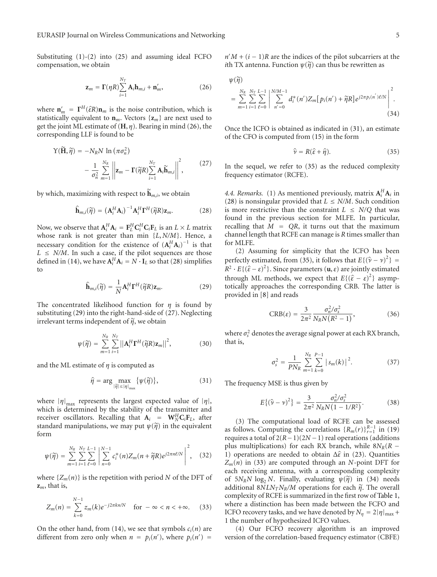Substituting  $(1)-(2)$  into  $(25)$  and assuming ideal FCFO compensation, we obtain

$$
\mathbf{z}_m = \Gamma(\eta R) \sum_{i=1}^{N_T} \mathbf{A}_i \mathbf{h}_{m,i} + \mathbf{n}'_m, \qquad (26)
$$

 $\mathbf{z}_m = \mathbf{I}(\eta K) \sum_{i=1}^K \mathbf{A}_i \mathbf{n}_{m,i} + \mathbf{n}_m,$  (26)<br>where  $\mathbf{n}'_m = \mathbf{\Gamma}^H(\hat{\varepsilon}R) \mathbf{n}_m$  is the noise contribution, which is statistically equivalent to  $\mathbf{n}_m$ . Vectors  $\{\mathbf{z}_m\}$  are next used to get the joint ML estimate of (**H**, *η*). Bearing in mind (26), the<br>corresponding LLF is found to be<br> $\Upsilon(\tilde{\mathbf{H}}, \tilde{\boldsymbol{\eta}}) = -N_R N \ln (\pi \sigma_n^2)$ corresponding LLF is found to be<br>  $\Upsilon(\widetilde{\mathbf{H}}, \widetilde{\boldsymbol{\eta}}) = -N_R N \ln (\pi \sigma_n^2)$ 

$$
\Upsilon(\widetilde{\mathbf{H}}, \widetilde{\boldsymbol{\eta}}) = -N_R N \ln (\pi \sigma_n^2)
$$

$$
- \frac{1}{\sigma_n^2} \sum_{m=1}^{N_R} \left\| \mathbf{z}_m - \mathbf{\Gamma}(\widetilde{\boldsymbol{\eta}}R) \sum_{i=1}^{N_T} \mathbf{A}_i \widetilde{\mathbf{h}}_{m,i} \right\|^2,
$$
(27)  
by which, maximizing with respect to  $\widetilde{\mathbf{h}}_{m,i}$ , we obtain
$$
\widehat{\mathbf{h}}_{m,i}(\widetilde{\boldsymbol{\eta}}) = (\mathbf{A}_i^H \mathbf{A}_i)^{-1} \mathbf{A}_i^H \mathbf{\Gamma}^H(\widetilde{\boldsymbol{\eta}}R) \mathbf{z}_m.
$$
(28)

$$
\widehat{\mathbf{h}}_{m,i}(\widetilde{\boldsymbol{\eta}}) = \left(\mathbf{A}_i^H \mathbf{A}_i\right)^{-1} \mathbf{A}_i^H \mathbf{\Gamma}^H(\widetilde{\boldsymbol{\eta}} R) \mathbf{z}_m. \tag{28}
$$

Now, we observe that  $\mathbf{A}_i^H \mathbf{A}_i = \mathbf{F}_L^H \mathbf{C}_i^H \mathbf{C}_i \mathbf{F}_L$  is an  $L \times L$  matrix whose rank is not greater than min {*L*, *N/M*}. Hence, a necessary condition for the existence of  $(A_i^H A_i)^{-1}$  is that  $L \leq N/M$ . In such a case, if the pilot sequences are those defined in (14), we have  $\mathbf{A}_i^H \mathbf{A}_i = N \cdot \mathbf{I}_L$  so that (28) simplifies to

$$
\hat{\mathbf{h}}_{m,i}(\tilde{\eta}) = \frac{1}{N} \mathbf{A}_i^H \mathbf{\Gamma}^H(\tilde{\eta}R) \mathbf{z}_m.
$$
\n(29)

The concentrated likelihood function for *η* is found by substituting (29) into the right-hand-side of (27). Neglecting irrelevant terms independent of  $\tilde{\eta}$ , we obtain substituting (29) into the right-hand-side of (27). Neglecting

$$
\psi(\tilde{\eta}) = \sum_{m=1}^{N_R} \sum_{i=1}^{N_T} ||\mathbf{A}_i^H \mathbf{\Gamma}^H(\tilde{\eta}R)\mathbf{z}_m||^2, \qquad (30)
$$

and the ML estimate of 
$$
\eta
$$
 is computed as  
\n
$$
\hat{\eta} = \arg \max_{|\hat{\eta}| \le |\eta|_{\text{max}}} {\{\psi(\tilde{\eta})\}},
$$
\n(31)

where  $|\eta|_{\text{max}}$  represents the largest expected value of  $|\eta|$ , which is determined by the stability of the transmitter and receiver oscillators. Recalling that  $A_i = W_N^H C_i F_L$ , after which is determined by the stability of the existence oscillators. Recalling that **A**<sub>*i*</sub> standard manipulations, we may put  $\psi(\hat{\eta})$ ipulations, we may put  $\psi(\widetilde{\eta})$  in the equivalent form

$$
\psi(\tilde{\eta}) = \sum_{m=1}^{N_R} \sum_{i=1}^{N_T} \sum_{\ell=0}^{L-1} \left| \sum_{n=0}^{N-1} c_i^*(n) Z_m(n + \tilde{\eta} R) e^{j2\pi n \ell/N} \right|^2, \quad (32)
$$

where  $\{Z_m(n)\}$  is the repetition with period *N* of the DFT of **z***m*, that is,

$$
Z_m(n) = \sum_{k=0}^{N-1} z_m(k) e^{-j2\pi kn/N} \quad \text{for } -\infty < n < +\infty. \tag{33}
$$

On the other hand, from (14), we see that symbols  $c_i(n)$  are different from zero only when  $n = p_i(n')$ , where  $p_i(n') =$ 

 $n/M + (i - 1)R$  are the indices of the pilot subcarriers at the *i*<sup>*n'M* + (*i* – 1)*R* are the indices *i*th TX antenna. Function  $\psi(\hat{\eta})$ </sup>  $m + (l - 1)$ A are the indices of the phot subcarriers of TX antenna. Function  $\psi(\tilde{\eta})$  can thus be rewritten as  $\psi(\tilde{\eta})$  $\ddot{\phantom{a}}$ 

$$
\psi(\tilde{\eta}) = \sum_{m=1}^{N_R} \sum_{i=1}^{N_T} \sum_{\ell=0}^{L-1} \left| \sum_{n'=0}^{N/M-1} d_i^*(n') Z_m[p_i(n') + \tilde{\eta} R] e^{j2\pi p_i(n')} \ell N \right|^2.
$$
\n(34)

Once the ICFO is obtained as indicated in  $(31)$ , an estimate of the CFO is computed from (15) in the form<br>of the CFO is computed from (15) in the form<br> $\hat{v} = R(\hat{\varepsilon} + \hat{\eta})$ . (35)

$$
\hat{\nu} = R(\hat{\varepsilon} + \hat{\eta}).\tag{35}
$$

In the sequel, we refer to (35) as the reduced complexity frequency estimator (RCFE).

4.4. *Remarks.* (1) As mentioned previously, matrix  $A_i^H A_i$  in (28) is nonsingular provided that  $L \leq N/M$ . Such condition is more restrictive than the constraint  $L \leq N/Q$  that was found in the previous section for MLFE. In particular, recalling that  $M = QR$ , it turns out that the maximum channel length that RCFE can manage is *R* times smaller than for MLFE.

(2) Assuming for simplicity that the ICFO has been for MLFE.<br>(2) Assuming for simplicity that the ICFO has been<br>perfectly estimated, from (35), it follows that  $E\{(\hat{v} - v)^2\}$ (2) Assure<br>*R*<sup>2</sup> · *E*{( $\hat{\varepsilon}$ −  $\varepsilon$ ) <sup>2</sup>}. Since parameters  $(\mathbf{u}, \varepsilon)$  are jointly estimated perfectly estimated, from (35), it follows that *E*{( $R^2 \cdot E\{(\hat{\varepsilon} - \varepsilon)^2\}$ . Since parameters (**u**,  $\varepsilon$ ) are jointly through ML methods, we expect that *E*{( $\hat{\varepsilon} - \varepsilon$ )  $2$ } asymptotically approaches the corresponding CRB. The latter is provided in [8] and reads

and reads  
\n
$$
CRB(\varepsilon) = \frac{3}{2\pi^2} \frac{\sigma_n^2/\sigma_s^2}{N_R N (R^2 - 1)},
$$
\n(36)

where  $\sigma_s^2$  denotes the average signal power at each RX branch, that is,

$$
\sigma_s^2 = \frac{1}{PN_R} \sum_{m=1}^{N_R} \sum_{k=0}^{P-1} |s_m(k)|^2.
$$
 (37)

The frequency MSE is thus given by

$$
E\{(\hat{v} - v)^2\} = \frac{3}{2\pi^2} \frac{\sigma_n^2/\sigma_s^2}{N_R N (1 - 1/R^2)}.
$$
 (38)

(3) The computational load of RCFE can be assessed as follows. Computing the correlations  ${R_m(r)}_{r=1}^{R-1}$  in (19) requires a total of 2(*R*−1)(2*N* − 1) real operations (additions<br>plus multiplications) for each RX branch, while  $8N_R(R - 1)$  operations are needed to obtain Δ $\hat{\epsilon}$  in (23). Quantities plus multiplications) for each RX branch, while  $8N_R(R - 1)$  operations are needed to obtain  $\Delta \hat{\epsilon}$  in (23). Quantities *Z<sub>m</sub>*(*n*) in (33) are computed through an *N*-point DFT for each receiving antenna, with a corresponding complexity of  $5N_RN \log_2 N$ . Finally, evaluating  $\psi(\tilde{\eta})$  in (34) needs each receiving antenna, with a corresponding complexity<br>of  $5N_RN \log_2 N$ . Finally, evaluating  $\psi(\tilde{\eta})$  in (34) needs<br>additional  $8N L N_T N_R/M$  operations for each  $\tilde{\eta}$ . The overall of  $5N_RN \log_2 N$ . Finally, evaluating  $\psi(\tilde{\eta})$  in (34) needs additional  $8NLN_TN_R/M$  operations for each  $\tilde{\eta}$ . The overall complexity of RCFE is summarized in the first row of Table 1, where a distinction has been made between the FCFO and ICFO recovery tasks, and we have denoted by  $N_{\eta} = 2|\eta|_{\text{max}} +$ 1 the number of hypothesized ICFO values.

(4) Our FCFO recovery algorithm is an improved version of the correlation-based frequency estimator (CBFE)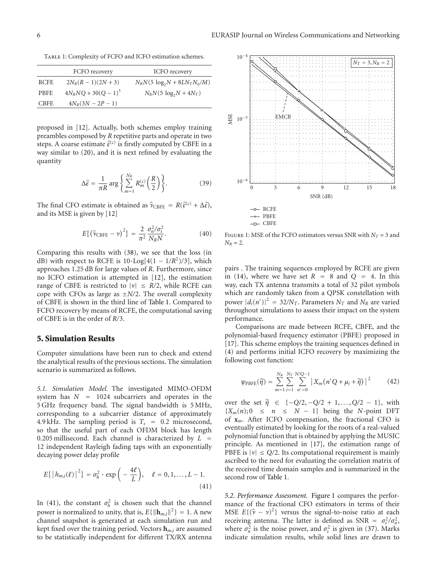TABLE 1: Complexity of FCFO and ICFO estimation schemes.

|             | FCFO recovery        | <b>ICFO</b> recovery              |
|-------------|----------------------|-----------------------------------|
| <b>RCFE</b> | $2N_R(R-1)(2N+3)$    | $N_R N(5 \log_2 N + 8LN_T N_n/M)$ |
| <b>PBFF</b> | $4N_RNQ + 30(Q-1)^3$ | $N_R N(5 \log_2 N + 4N_T)$        |
| <b>CBFE</b> | $4N_R(3N-2P-1)$      |                                   |

proposed in [12]. Actually, both schemes employ training preambles composed by *R* repetitive parts and operate in two proposed in [12]. Actually, both schemes employ training<br>preambles composed by *R* repetitive parts and operate in two<br>steps. A coarse estimate  $\hat{\varepsilon}^{(c)}$  is firstly computed by CBFE in a way similar to (20), and it is next refined by evaluating the<br>
quantity<br>  $\Delta \hat{\epsilon} = \frac{1}{\pi R} \arg \left\{ \sum_{m=1}^{N_R} R_m^{(c)} \left( \frac{R}{2} \right) \right\}.$  (39) quantity

$$
\Delta \hat{\varepsilon} = \frac{1}{\pi R} \arg \left\{ \sum_{m=1}^{N_R} R_m^{(c)} \left( \frac{R}{2} \right) \right\}.
$$
 (39)

 $\Delta \varepsilon = \frac{1}{\pi R} \arg \left\{ \sum_{m=1}^{R} K_m^{\omega} \left( \frac{1}{2} \right) \right\}.$ (39)<br>
The final CFO estimate is obtained as  $\hat{v}_{\text{CBFE}} = R(\hat{\varepsilon}^{(c)} + \Delta \hat{\varepsilon})$ ,<br>
and its MSE is given by [12]<br>  $F(\hat{v}_{\text{CBFE}}^2) = \frac{2 \sigma_n^2/\sigma_s^2}{\sigma_n^2/\sigma_s^2}$  (49) and its MSE is given by [12]

$$
E\{(\hat{\nu}_{\text{CBFE}} - \nu)^2\} = \frac{2}{\pi^2} \frac{\sigma_n^2/\sigma_s^2}{N_R N}.
$$
 (40)

Comparing this results with (38), we see that the loss (in dB) with respect to RCFE is 10·Log[4(1 <sup>−</sup> 1*/R*2)*/*3], which approaches 1.25 dB for large values of *R*. Furthermore, since no ICFO estimation is attempted in [12], the estimation range of CBFE is restricted to  $|\nu| \le R/2$ , while RCFE can cope with CFOs as large as  $\pm N/2$ . The overall complexity of CBFE is shown in the third line of Table 1. Compared to FCFO recovery by means of RCFE, the computational saving of CBFE is in the order of *R/*3.

#### **5. Simulation Results**

Computer simulations have been run to check and extend the analytical results of the previous sections. The simulation scenario is summarized as follows.

*5.1. Simulation Model.* The investigated MIMO-OFDM system has *N* = 1024 subcarriers and operates in the 5 GHz frequency band. The signal bandwidth is 5 MHz, corresponding to a subcarrier distance of approximately 4.9 kHz. The sampling period is  $T_s = 0.2$  microsecond, so that the useful part of each OFDM block has length 0*.*205 millisecond. Each channel is characterized by *L* = 12 independent Rayleigh fading taps with an exponentially decaying power delay profile<br>  $E\{|h_{m,i}(\ell)|^2\} = \sigma_h^2 \cdot \exp\left(-\frac{4\ell}{I}\right), \quad \ell = 0, 1, ..., L - 1.$  $\frac{1}{2}$  independent Rayleigh Take<br>decaying power delay profile

$$
E\{\left|h_{m,i}(\ell)\right|^2\} = \sigma_h^2 \cdot \exp\left(-\frac{4\ell}{L}\right), \quad \ell = 0, 1, \ldots, L-1.
$$
\n(41)

In (41), the constant  $\sigma_h^2$  is chosen such that the channel power is normalized to unity, that is,  $E\{\|\mathbf{h}_{m,i}\|^2\} = 1$ . A new channel snapshot is generated at each simulation run and kept fixed over the training period. Vectors **h***m*,*<sup>i</sup>* are assumed to be statistically independent for different TX/RX antenna



FIGURE 1: MSE of the FCFO estimators versus SNR with  $N_T = 3$  and  $N_R = 2$ .

pairs . The training sequences employed by RCFE are given in (14), where we have set  $R = 8$  and  $Q = 4$ . In this way, each TX antenna transmits a total of 32 pilot symbols which are randomly taken from a QPSK constellation with power  $|d_i(n')|^2 = 32/N_T$ . Parameters  $N_T$  and  $N_R$  are varied throughout simulations to assess their impact on the system performance.

Comparisons are made between RCFE, CBFE, and the polynomial-based frequency estimator (PBFE) proposed in [17]. This scheme employs the training sequences defined in (4) and performs initial ICFO recovery by maximizing the 

following cost function:  
\n
$$
\psi_{\text{PBFE}}(\tilde{\eta}) = \sum_{m=1}^{N_R} \sum_{i=1}^{N_T} \sum_{n'=0}^{N/Q-1} |X_m(n'Q + \mu_i + \tilde{\eta})|^2 \qquad (42)
$$
\nover the set  $\tilde{\eta} \in \{-Q/2, -Q/2 + 1, ..., Q/2 - 1\}$ , with

 ${X_m(n); 0 \leq n \leq N - 1}$  being the *N*-point DFT of **x***m*. After ICFO compensation, the fractional CFO is eventually estimated by looking for the roots of a real-valued polynomial function that is obtained by applying the MUSIC principle. As mentioned in [17], the estimation range of PBFE is  $|\nu| \leq Q/2$ . Its computational requirement is mainly ascribed to the need for evaluating the correlation matrix of the received time domain samples and is summarized in the second row of Table 1.

*5.2. Performance Assessment.* Figure 1 compares the performance of the fractional CFO estimators in terms of their 5.2. *Performance Assessment*. Figure 1 compares the performance of the fractional CFO estimators in terms of their MSE  $E\{(\hat{v} - v)^2\}$  versus the signal-to-noise ratio at each receiving antenna. The latter is defined as SNR =  $\sigma_s^2/\sigma_n^2$ , where  $\sigma_n^2$  is the noise power, and  $\sigma_s^2$  is given in (37). Marks indicate simulation results, while solid lines are drawn to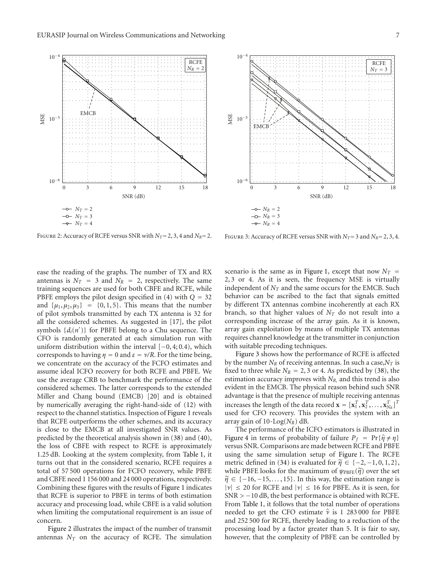



FIGURE 2: Accuracy of RCFE versus SNR with  $N_T = 2, 3, 4$  and  $N_R = 2$ .

FIGURE 3: Accuracy of RCFE versus SNR with  $N_T = 3$  and  $N_R = 2, 3, 4$ .

ease the reading of the graphs. The number of TX and RX antennas is  $N_T = 3$  and  $N_R = 2$ , respectively. The same training sequences are used for both CBFE and RCFE, while PBFE employs the pilot design specified in (4) with *Q* = 32 and  $\{ \mu_1, \mu_2, \mu_3 \}$  = {0, 1, 5}. This means that the number of pilot symbols transmitted by each TX antenna is 32 for all the considered schemes. As suggested in [17], the pilot symbols {*di*(*n* )} for PBFE belong to a Chu sequence. The CFO is randomly generated at each simulation run with uniform distribution within the interval [−0, 4; 0*.*4), which corresponds to having  $\eta = 0$  and  $\varepsilon = \nu/R$ . For the time being, we concentrate on the accuracy of the FCFO estimates and assume ideal ICFO recovery for both RCFE and PBFE. We use the average CRB to benchmark the performance of the considered schemes. The latter corresponds to the extended Miller and Chang bound (EMCB) [20] and is obtained by numerically averaging the right-hand-side of (12) with respect to the channel statistics. Inspection of Figure 1 reveals that RCFE outperforms the other schemes, and its accuracy is close to the EMCB at all investigated SNR values. As predicted by the theoretical analysis shown in (38) and (40), the loss of CBFE with respect to RCFE is approximately 1.25 dB. Looking at the system complexity, from Table 1, it turns out that in the considered scenario, RCFE requires a total of 57 500 operations for FCFO recovery, while PBFE and CBFE need 1 156 000 and 24 000 operations, respectively. Combining these figures with the results of Figure 1 indicates that RCFE is superior to PBFE in terms of both estimation accuracy and processing load, while CBFE is a valid solution when limiting the computational requirement is an issue of concern.

Figure 2 illustrates the impact of the number of transmit antennas  $N_T$  on the accuracy of RCFE. The simulation scenario is the same as in Figure 1, except that now  $N_T =$ 2, 3 or 4. As it is seen, the frequency MSE is virtually independent of  $N_T$  and the same occurs for the EMCB. Such behavior can be ascribed to the fact that signals emitted by different TX antennas combine incoherently at each RX branch, so that higher values of  $N_T$  do not result into a corresponding increase of the array gain. As it is known, array gain exploitation by means of multiple TX antennas requires channel knowledge at the transmitter in conjunction with suitable precoding techniques.

Figure 3 shows how the performance of RCFE is affected by the number  $N_R$  of receiving antennas. In such a case, $N_T$  is fixed to three while  $N_R = 2, 3$  or 4. As predicted by (38), the estimation accuracy improves with *NR*, and this trend is also evident in the EMCB. The physical reason behind such SNR advantage is that the presence of multiple receiving antennas increases the length of the data record  $\mathbf{x} = [\mathbf{x}_1^T, \mathbf{x}_2^T, \dots, \mathbf{x}_{N_R}^T]^T$ used for CFO recovery. This provides the system with an array gain of  $10 \cdot \text{Log}(N_R)$  dB.

The performance of the ICFO estimators is illustrated in Figure 4 in terms of probability of failure *P<sub>f</sub>* = Pr{ $\hat{\eta} \neq \eta$ }<br>Figure 4 in terms of probability of failure  $P_f = Pr{\hat{\eta} \neq \eta}$ versus SNR. Comparisons are made between RCFE and PBFE using the same simulation setup of Figure 1. The RCFE *metric defined in (34)* is evaluated for *η*<br>wersus SNR. Comparisons are made betw<br>using the same simulation setup of F<br>metric defined in (34) is evaluated for *η* metric defined in (34) is evaluated for  $\tilde{\eta} \in \{-2, -1, 0, 1, 2\},\$ while PIFE looks for the maximum of *ψ*<sub>PBFE</sub>( $\hat{\eta}$  while PBFE looks for the maximum of  $\psi_{\text{PBEE}}(\hat{\eta})$ while PBFE looks for the maximum of  $\psi_{\text{PBFE}}(\tilde{\eta})$  over the set **η-**<br>Π- Μ-? |  $\widetilde{\eta} \in \{-16, -15, \ldots, 15\}$ . In this way, the estimation range is  $|\nu| \le 20$  for RCFE and  $|\nu| \le 16$  for PBFE. As it is seen, for SNR *>* −10 dB, the best performance is obtained with RCFE. From Table 1, it follows that the total number of operations SNR  $> -10$  dB, the best performance is obtained with RCFE.<br>From Table 1, it follows that the total number of operations<br>needed to get the CFO estimate  $\hat{v}$  is 1 283 000 for PBFE and 252 500 for RCFE, thereby leading to a reduction of the processing load by a factor greater than 5. It is fair to say, however, that the complexity of PBFE can be controlled by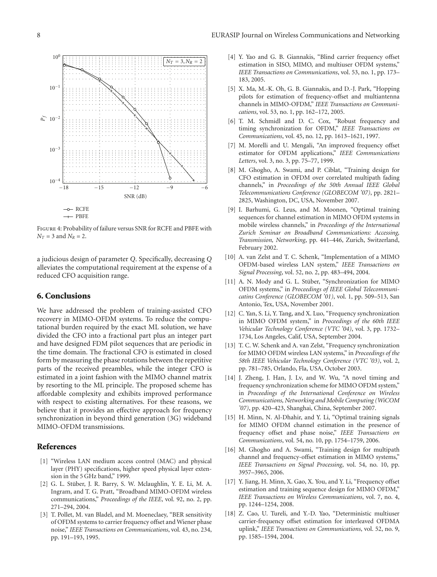

Figure 4: Probability of failure versus SNR for RCFE and PBFE with  $N_T = 3$  and  $N_R = 2$ .

a judicious design of parameter *Q*. Specifically, decreasing *Q* alleviates the computational requirement at the expense of a reduced CFO acquisition range.

#### **6. Conclusions**

We have addressed the problem of training-assisted CFO recovery in MIMO-OFDM systems. To reduce the computational burden required by the exact ML solution, we have divided the CFO into a fractional part plus an integer part and have designed FDM pilot sequences that are periodic in the time domain. The fractional CFO is estimated in closed form by measuring the phase rotations between the repetitive parts of the received preambles, while the integer CFO is estimated in a joint fashion with the MIMO channel matrix by resorting to the ML principle. The proposed scheme has affordable complexity and exhibits improved performance with respect to existing alternatives. For these reasons, we believe that it provides an effective approach for frequency synchronization in beyond third generation (3G) wideband MIMO-OFDM transmissions.

#### **References**

- [1] "Wireless LAN medium access control (MAC) and physical layer (PHY) specifications, higher speed physical layer extension in the 5 GHz band," 1999.
- [2] G. L. Stuber, J. R. Barry, S. W. Mclaughlin, Y. E. Li, M. A. ¨ Ingram, and T. G. Pratt, "Broadband MIMO-OFDM wireless communications," *Proceedings of the IEEE*, vol. 92, no. 2, pp. 271–294, 2004.
- [3] T. Pollet, M. van Bladel, and M. Moeneclaey, "BER sensitivity of OFDM systems to carrier frequency offset and Wiener phase noise," *IEEE Transactions on Communications*, vol. 43, no. 234, pp. 191–193, 1995.
- [4] Y. Yao and G. B. Giannakis, "Blind carrier frequency offset estimation in SISO, MIMO, and multiuser OFDM systems," *IEEE Transactions on Communications*, vol. 53, no. 1, pp. 173– 183, 2005.
- [5] X. Ma, M.-K. Oh, G. B. Giannakis, and D.-J. Park, "Hopping pilots for estimation of frequency-offset and multiantenna channels in MIMO-OFDM," *IEEE Transactions on Communications*, vol. 53, no. 1, pp. 162–172, 2005.
- [6] T. M. Schmidl and D. C. Cox, "Robust frequency and timing synchronization for OFDM," *IEEE Transactions on Communications*, vol. 45, no. 12, pp. 1613–1621, 1997.
- [7] M. Morelli and U. Mengali, "An improved frequency offset estimator for OFDM applications," *IEEE Communications Letters*, vol. 3, no. 3, pp. 75–77, 1999.
- [8] M. Ghogho, A. Swami, and P. Ciblat, "Training design for CFO estimation in OFDM over correlated multipath fading channels," in *Proceedings of the 50th Annual IEEE Global Telecommunications Conference (GLOBECOM '07)*, pp. 2821– 2825, Washington, DC, USA, November 2007.
- [9] I. Barhumi, G. Leus, and M. Moonen, "Optimal training sequences for channel estimation in MIMO OFDM systems in mobile wireless channels," in *Proceedings of the International Zurich Seminar on Broadband Communications: Accessing, Transmission, Networking*, pp. 441–446, Zurich, Switzerland, February 2002.
- [10] A. van Zelst and T. C. Schenk, "Implementation of a MIMO OFDM-based wireless LAN system," *IEEE Transactions on Signal Processing*, vol. 52, no. 2, pp. 483–494, 2004.
- [11] A. N. Mody and G. L. Stüber, "Synchronization for MIMO OFDM systems," in *Proceedings of IEEE Global Telecommunicatins Conference (GLOBECOM '01)*, vol. 1, pp. 509–513, San Antonio, Tex, USA, November 2001.
- [12] C. Yan, S. Li, Y. Tang, and X. Luo, "Frequency synchronization in MIMO OFDM system," in *Proceedings of the 60th IEEE Vehicular Technology Conference (VTC '04)*, vol. 3, pp. 1732– 1734, Los Angeles, Calif, USA, September 2004.
- [13] T. C. W. Schenk and A. van Zelst, "Frequency synchronization for MIMO OFDM wireless LAN systems," in *Proceedings of the 58th IEEE Vehicular Technology Conference (VTC '03)*, vol. 2, pp. 781–785, Orlando, Fla, USA, October 2003.
- [14] J. Zheng, J. Han, J. Lv, and W. Wu, "A novel timing and frequency synchronization scheme for MIMO OFDM system," in *Proceedings of the International Conference on Wireless Communications, Networking and Mobile Computing (WiCOM '07)*, pp. 420–423, Shanghai, China, September 2007.
- [15] H. Minn, N. Al-Dhahir, and Y. Li, "Optimal training signals for MIMO OFDM channel estimation in the presence of frequency offset and phase noise," *IEEE Transactions on Communications*, vol. 54, no. 10, pp. 1754–1759, 2006.
- [16] M. Ghogho and A. Swami, "Training design for multipath channel and frequency-offset estimation in MIMO systems," *IEEE Transactions on Signal Processing*, vol. 54, no. 10, pp. 3957–3965, 2006.
- [17] Y. Jiang, H. Minn, X. Gao, X. You, and Y. Li, "Frequency offset estimation and training sequence design for MIMO OFDM," *IEEE Transactions on Wireless Communications*, vol. 7, no. 4, pp. 1244–1254, 2008.
- [18] Z. Cao, U. Tureli, and Y.-D. Yao, "Deterministic multiuser carrier-frequency offset estimation for interleaved OFDMA uplink," *IEEE Transactions on Communications*, vol. 52, no. 9, pp. 1585–1594, 2004.